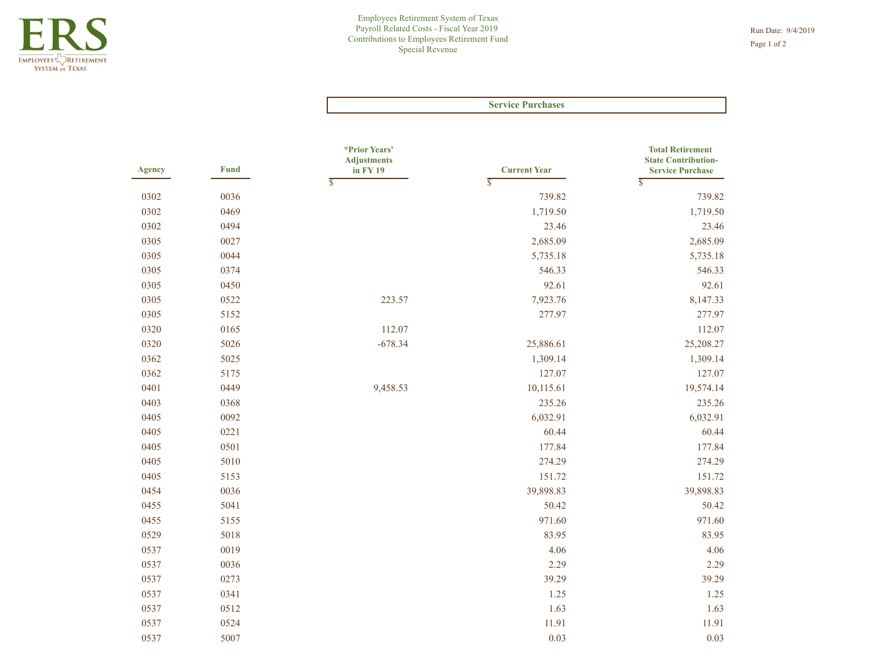|               |             |                                     | <b>Service Purchases</b>                       |                                                       |
|---------------|-------------|-------------------------------------|------------------------------------------------|-------------------------------------------------------|
|               |             | *Prior Years'<br><b>Adjustments</b> | <b>Current Year</b><br>$\overline{\mathbb{S}}$ | <b>Total Retirement</b><br><b>State Contribution-</b> |
| <b>Agency</b> | <b>Fund</b> | in FY 19<br>$\overline{\mathbb{S}}$ |                                                | <b>Service Purchase</b><br>$\overline{\mathbb{S}}$    |
| 0302          | 0036        |                                     | 739.82                                         | 739.82                                                |
| 0302          | 0469        |                                     | 1,719.50                                       | 1,719.50                                              |
| 0302          | 0494        |                                     | 23.46                                          | 23.46                                                 |
| 0305          | 0027        |                                     | 2,685.09                                       | 2,685.09                                              |
| 0305          | 0044        |                                     | 5,735.18                                       | 5,735.18                                              |
| 0305          | 0374        |                                     | 546.33                                         | 546.33                                                |
| 0305          | 0450        |                                     | 92.61                                          | 92.61                                                 |
| 0305          | 0522        | 223.57                              | 7,923.76                                       | 8,147.33                                              |
| 0305          | 5152        |                                     | 277.97                                         | 277.97                                                |
| 0320          | 0165        | 112.07                              |                                                | 112.07                                                |
| 0320          | 5026        | $-678.34$                           | 25,886.61                                      | 25,208.27                                             |
| 0362          | 5025        |                                     | 1,309.14                                       | 1,309.14                                              |
| 0362          | 5175        |                                     | 127.07                                         | 127.07                                                |
| 0401          | 0449        | 9,458.53                            | 10,115.61                                      | 19,574.14                                             |
| 0403          | 0368        |                                     | 235.26                                         | 235.26                                                |
| 0405          | 0092        |                                     | 6,032.91                                       | 6,032.91                                              |
| 0405          | 0221        |                                     | 60.44                                          | 60.44                                                 |
| 0405          | 0501        |                                     | 177.84                                         | 177.84                                                |
| 0405          | 5010        |                                     | 274.29                                         | 274.29                                                |
| 0405          | 5153        |                                     | 151.72                                         | 151.72                                                |
| 0454          | 0036        |                                     | 39,898.83                                      | 39,898.83                                             |
| 0455          | 5041        |                                     | 50.42                                          | 50.42                                                 |
| 0455          | 5155        |                                     | 971.60                                         | 971.60                                                |
| 0529          | 5018        |                                     | 83.95                                          | 83.95                                                 |
| 0537          | 0019        |                                     | 4.06                                           | 4.06                                                  |
| 0537          | 0036        |                                     | 2.29                                           | 2.29                                                  |
| 0537          | 0273        |                                     | 39.29                                          | 39.29                                                 |
| 0537          | 0341        |                                     | 1.25                                           | 1.25                                                  |
| 0537          | 0512        |                                     | 1.63                                           | 1.63                                                  |
| 0537          | 0524        |                                     | 11.91                                          | 11.91                                                 |
| 0537          | 5007        |                                     | 0.03                                           | 0.03                                                  |